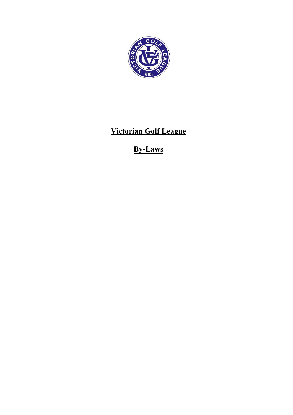

## Victorian Golf League

# By-Laws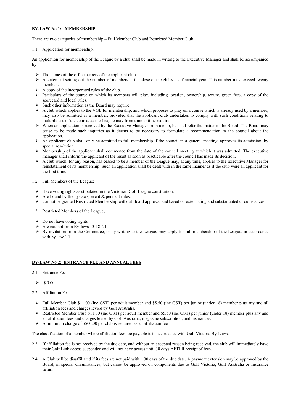## BY-LAW No 1: MEMBERSHIP

There are two categories of membership – Full Member Club and Restricted Member Club.

## 1.1 Application for membership.

An application for membership of the League by a club shall be made in writing to the Executive Manager and shall be accompanied by:

- $\triangleright$  The names of the office bearers of the applicant club.
- $\triangleright$  A statement setting out the number of members at the close of the club's last financial year. This number must exceed twenty members.
- $\triangleright$  A copy of the incorporated rules of the club.
- Particulars of the course on which its members will play, including location, ownership, tenure, green fees, a copy of the scorecard and local rules.
- $\triangleright$  Such other information as the Board may require.
- $\triangleright$  A club which applies to the VGL for membership, and which proposes to play on a course which is already used by a member, may also be admitted as a member, provided that the applicant club undertakes to comply with such conditions relating to multiple use of the course, as the League may from time to time require.
- $\triangleright$  When an application is received by the Executive Manager from a club, he shall refer the matter to the Board. The Board may cause to be made such inquiries as it deems to be necessary to formulate a recommendation to the council about the application.
- $\triangleright$  An applicant club shall only be admitted to full membership if the council in a general meeting, approves its admission, by special resolution.
- $\triangleright$  Membership of the applicant shall commence from the date of the council meeting at which it was admitted. The executive manager shall inform the applicant of the result as soon as practicable after the council has made its decision.
- A club which, for any reason, has ceased to be a member of the League may, at any time, applies to the Executive Manager for reinstatement of its membership. Such an application shall be dealt with in the same manner as if the club were an applicant for the first time.
- 1.2 Full Members of the League;
	- Have voting rights as stipulated in the Victorian Golf League constitution.
	- Are bound by the by-laws, event & pennant rules.
	- $\triangleright$  Cannot be granted Restricted Membership without Board approval and based on extenuating and substantiated circumstances
- 1.3 Restricted Members of the League;
	- $\triangleright$  Do not have voting rights
	- Are exempt from By-laws 13-18, 21
	- $\triangleright$  By invitation from the Committee, or by writing to the League, may apply for full membership of the League, in accordance with by-law 1.1

## BY-LAW No 2: ENTRANCE FEE AND ANNUAL FEES

- 2.1 Entrance Fee
	- $\geqslant$  \$ 0.00
- 2.2 Affiliation Fee
	- $\triangleright$  Full Member Club \$11.00 (inc GST) per adult member and \$5.50 (inc GST) per junior (under 18) member plus any and all affiliation fees and charges levied by Golf Australia.
	- $\triangleright$  Restricted Member Club \$11.00 (inc GST) per adult member and \$5.50 (inc GST) per junior (under 18) member plus any and all affiliation fees and charges levied by Golf Australia, magazine subscription, and insurances.
	- $\triangleright$  A minimum charge of \$500.00 per club is required as an affiliation fee.

The classification of a member where affiliation fees are payable is in accordance with Golf Victoria By-Laws.

- 2.3 If affiliaiton fee is not received by the due date, and without an accepted reason being received, the club will immediately have their Golf Link access suspended and will not have access until 30 days AFTER receipt of fees.
- 2.4 A Club will be disaffiliated if its fees are not paid within 30 days of the due date. A payment extension may be approved by the Board, in special circumstances, but cannot be approved on components due to Golf Victoria, Golf Australia or Insurance firms.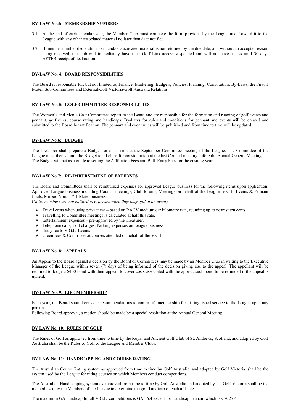## BY-LAW No.3: MEMBERSHIP NUMBERS

- 3.1 At the end of each calendar year, the Member Club must complete the form provided by the League and forward it to the League with any other associated material no later than date notified.
- 3.2 If member number declaration form and/or assoicated material is not returned by the due date, and without an accepted reason being received, the club will immediately have their Golf Link access suspended and will not have access until 30 days AFTER receipt of declaration.

## BY-LAW No. 4: BOARD RESPONSIBILITIES

The Board is responsible for, but not limited to, Finance, Marketing, Budgets, Policies, Planning, Constitution, By-Laws, the First T Motel, Sub-Committees and External/Golf Victoria/Golf Australia Relations.

## BY-LAW No. 5: GOLF COMMITTEE RESPONSIBILITIES

The Women's and Men's Golf Committees report to the Board and are responsible for the formation and running of golf events and pennant, golf rules, course rating and handicaps. By-Laws for rules and conditions for pennant and events will be created and submitted to the Board for ratification. The pennant and event rules will be published and from time to time will be updated.

## BY-LAW No.6: BUDGET

The Treasurer shall prepare a Budget for discussion at the September Committee meeting of the League. The Committee of the League must then submit the Budget to all clubs for consideration at the last Council meeting before the Annual General Meeting. The Budget will act as a guide to setting the Affiliation Fees and Bulk Entry Fees for the ensuing year.

## BY-LAW No 7: RE-IMBURSEMENT OF EXPENSES

The Board and Committees shall be reimbursed expenses for approved League business for the following items upon application; Approved League business including Council meetings, Club forums, Meetings on behalf of the League, V.G.L. Events & Pennant finals, Mirboo North 1st T Motel business.

(Note: members are not entitled to expenses when they play golf at an event)

- Travel costs when using private car based on RACV medium car kilometre rate, rounding up to nearest ten cents.
- > Travelling to Committee meetings is calculated at half this rate.
- $\triangleright$  Entertainment expenses pre-approved by the Treasurer.
- $\triangleright$  Telephone calls, Toll charges, Parking expenses on League business.
- $\triangleright$  Entry fee to V.G.L. Events
- Green fees & Comp fees at courses attended on behalf of the V.G.L.

## BY-LAW No. 8: APPEALS

An Appeal to the Board against a decision by the Board or Committees may be made by an Member Club in writing to the Executive Manager of the League within seven (7) days of being informed of the decision giving rise to the appeal. The appellant will be required to lodge a \$400 bond with their appeal, to cover costs associated with the appeal, such bond to be refunded if the appeal is upheld.

## BY-LAW No. 9: LIFE MEMBERSHIP

Each year, the Board should consider recommendations to confer life membership for distinguished service to the League upon any person.

Following Board approval, a motion should be made by a special resolution at the Annual General Meeting.

## BY LAW No. 10: RULES OF GOLF

The Rules of Golf as approved from time to time by the Royal and Ancient Golf Club of St. Andrews, Scotland, and adopted by Golf Australia shall be the Rules of Golf of the League and Member Clubs.

## BY LAW No. 11: HANDICAPPING AND COURSE RATING

The Australian Course Rating system as approved from time to time by Golf Australia, and adopted by Golf Victoria, shall be the system used by the League for rating courses on which Members conduct competitions.

The Australian Handicapping system as approved from time to time by Golf Australia and adopted by the Golf Victoria shall be the method used by the Members of the League to determine the golf handicap of each affiliate.

The maximum GA handicap for all V.G.L. competitions is GA 36.4 except for Handicap pennant which is GA 27.4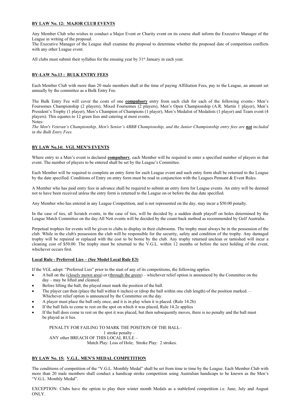## BY LAW No. 12: MAJOR CLUB EVENTS

Any Member Club who wishes to conduct a Major Event or Charity event on its course shall inform the Executive Manager of the League in writing of the proposal.

The Executive Manager of the League shall examine the proposal to determine whether the proposed date of competition conflicts with any other League event.

All clubs must submit their syllabus for the ensuing year by  $31<sup>st</sup>$  January in each year.

## BY-LAW No.13 : BULK ENTRY FEES

Each Member Club with more than 20 male members shall at the time of paying Affiliation Fees, pay to the League, an amount set annually by the committee as a Bulk Entry Fee.

The Bulk Entry Fee will cover the costs of one **compulsory** entry from each club for each of the following events:- Men's Foursomes Championship (2 players), Mixed Foursomes (2 players), Men's Open Championship (A.R. Martin 1 player), Men's President's Trophy (1 player), Men's Champion of Champions (1 player), Men's Medalist of Medalists (1 player) and Team event (4 players). This equates to 12 green fees and catering at most events. Notes:

The Men's Veteran's Championship, Men's Senior's 4BBB Championship, and the Junior Championship entry fees are *not* included in the Bulk Entry Fees.

## BY LAW No.14: VGL MEN'S EVENTS

Where entry to a Men's event is declared **compulsory**, each Member will be required to enter a specified number of players in that event. The number of players to be entered shall be set by the League's Committee.

Each Member will be required to complete an entry form for each League event and such entry form shall be returned to the League by the date specified. Conditions of Entry on entry form must be read in conjunction with the Leagues Pennant & Event Rules.

A Member who has paid entry fees in advance shall be required to submit an entry form for League events. An entry will be deemed not to have been received unless the entry form is returned to the League on or before the due date specified.

Any Member who has entered in any League Competition, and is not represented on the day, may incur a \$50.00 penalty.

In the case of ties, all Scratch events, in the case of ties, will be decided by a sudden death playoff on holes determined by the League Match Committee on the day.All Nett events will be decided by the count-back method as recommended by Golf Australia.

Perpetual trophies for events will be given to clubs to display in their clubrooms. The trophy must always be in the possession of the club. While in the club's possession the club will be responsible for the security, safety and condition of the trophy. Any damaged trophy will be repaired or replaced with the cost to be borne by the club. Any trophy returned unclean or tarnished will incur a cleaning cost of \$50.00. The trophy must be returned to the V.G.L. within 12 months or before the next holding of the event, whichever occurs first.

## Local Rule - Preferred Lies – (See Model Local Rule E3)

If the VGL adopt "Preferred Lies" prior to the start of any of its competitions, the following applies.

- A ball on the (closely mown area) or (through the green) whichever relief option is announced by the Committee on the day – may be lifted and cleaned.
- Before lifting the ball, the played must mark the position of the ball.
- The player can then (place the ball within 6 inches) or (drop the ball within one club length) of the position marked. Whichever relief option is announced by the Committee on the day.
- A player must place the ball only once, and it is in play when it is placed. (Rule 14.2b)
- If the ball fails to come to rest on the spot on which it was placed, Rule 14.2e applies
- If the ball does come to rest on the spot it was placed, but then subsequently moves, there is no penalty and the ball must be played as it lies.

PENALTY FOR FAILING TO MARK THE POSITION OF THE BALL– 1 stroke penalty – ANY other BREACH OF THIS LOCAL RULE – Match Play: Loss of Hole; Stroke Play: 2 strokes.

## BY LAW No. 15: V.G.L. MEN'S MEDAL COMPETITION

The conditions of competition of the "V.G.L. Monthly Medal" shall be set from time to time by the League. Each Member Club with more than 20 male members shall conduct a handicap stroke competition using Australian handicaps to be known as the Men's "V.G.L. Monthly Medal".

EXCEPTION: Clubs have the option to play their winter month Medals as a stableford competition i.e. June, July and August ONLY.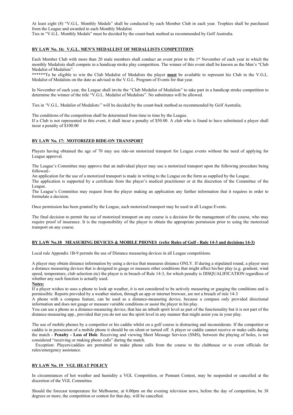At least eight (8) "V.G.L. Monthly Medals" shall be conducted by each Member Club in each year. Trophies shall be purchased from the League and awarded to each Monthly Medalist.

Ties in "V.G.L. Monthly Medals" must be decided by the count-back method as recommended by Golf Australia.

## BY LAW No. 16: V.G.L. MEN'S MEDALLIST OF MEDALLISTS COMPETITION

Each Member Club with more than 20 male members shall conduct an event prior to the 1<sup>st</sup> November of each year in which the monthly Medalists shall compete in a handicap stroke play competition. The winner of this event shall be known as the Men's "Club Medalist of Medalists".

\*\*\*\*\*\*To be eligible to win the Club Medalist of Medalists the player must be available to represent his Club in the V.G.L. Medalist of Medalists on the date as advised in the V.G.L. Program of Events for that year.

In November of each year, the League shall invite the "Club Medalist of Medalists" to take part in a handicap stroke competition to determine the winner of the title "V.G.L. Medalist of Medalists". No substitutes will be allowed.

Ties in 'V.G.L. Medalist of Medalists:" will be decided by the count-back method as recommended by Golf Australia.

The conditions of the competition shall be determined from time to time by the League.

If a Club is not represented in this event, it shall incur a penalty of \$50.00. A club who is found to have substituted a player shall incur a penalty of \$100.00

## BY LAW No. 17: MOTORIZED RIDE-ON TRANSPORT

Players having obtained the age of 70 may use ride-on motorized transport for League events without the need of applying for League approval.

The League's Committee may approve that an individual player may use a motorized transport upon the following procedure being followed:-

An application for the use of a motorized transport is made in writing to the League on the form as supplied by the League.

The application is supported by a certificate from the player's medical practitioner or at the discretion of the Committee of the League.

The League's Committee may request from the player making an application any further information that it requires in order to formulate a decision.

Once permission has been granted by the League, such motorized transport may be used in all League Events.

The final decision to permit the use of motorized transport on any course is a decision for the management of the course, who may require proof of insurance. It is the responsibility of the player to obtain the appropriate permission prior to using the motorized transport on any course.

## BY LAW No.18 MEASURING DEVICES & MOBILE PHONES (refer Rules of Golf - Rule 14-3 and decisions 14-3)

Local rule Appendix 1B-9 permits the use of Distance measuring devices in all League competitions.

A player may obtain distance information by using a device that measures distance ONLY. If during a stipulated round, a player uses a distance measuring devices that is designed to gauge or measure other conditions that might affect his/her play (e.g. gradient, wind speed, temperature, club selection etc) the player is in breach of Rule 14-3, for which penalty is DISQUALIFICATION regardless of whether any such function is actually used.

## Notes:

If a player wishes to uses a phone to look up weather, it is not considered to be actively measuring or gauging the conditions and is permissible. Reports provided by a weather station, through an app or internet browser, are not a breach of rule 14-3

A phone with a compass feature, can be used as a distance-measuring device, because a compass only provided directional information and does not gauge or measure variable conditions or assist the player in his play.

You can use a phone as a distance-measuring device, that has an inbuilt spirit level as part of the functionality but it is not part of the distance-measuring app., provided that you do not use the spirit level in any manner that might assist you in your play.

The use of mobile phones by a competitor or his caddie whilst on a golf course is distracting and inconsiderate. If the competitor or caddie is in possession of a mobile phone it should be on silent or turned off. A player or caddie cannot receive or make calls during the match - Penalty - Loss of Hole. Receiving and viewing Short Message Services (SMS), between the playing of holes, is not considered "receiving or making phone calls" during the match.

 Exception: Players/caddies are permitted to make phone calls from the course to the clubhouse or to event officials for rules/emergency assistance.

## BY LAW No. 19 VGL HEAT POLICY

In circumstances of hot weather and humidity a VGL Competition, or Pennant Contest, may be suspended or cancelled at the discretion of the VGL Committee.

Should the forecast temperature for Melbourne, at 6.00pm on the evening television news, before the day of competition, be 38 degrees or more, the competition or contest for that day, will be cancelled.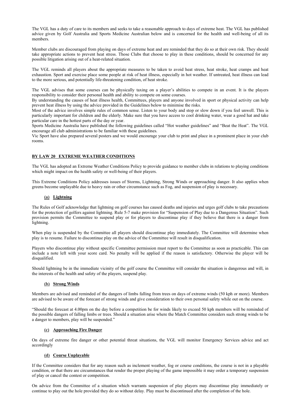The VGL has a duty of care to its members and seeks to take a reasonable approach to days of extreme heat. The VGL has published advice given by Golf Australia and Sports Medicine Australian below and is concerned for the health and well-being of all its members.

Member clubs are discouraged from playing on days of extreme heat and are reminded that they do so at their own risk. They should take appropriate actions to prevent heat stress. Those Clubs that choose to play in these conditions, should be concerned for any possible litigation arising out of a heat-related situation.

The VGL reminds all players about the appropriate measures to be taken to avoid heat stress, heat stroke, heat cramps and heat exhaustion. Sport and exercise place some people at risk of heat illness, especially in hot weather. If untreated, heat illness can lead to the more serious, and potentially life-threatening condition, of heat stroke.

The VGL advises that some courses can be physically taxing on a player's abilities to compete in an event. It is the players responsibility to consider their personal health and ability to compete on some courses.

By understanding the causes of heat illness health, Committees, players and anyone involved in sport or physical activity can help prevent heat illness by using the advice provided in the Guidelines below to minimise the risks.

Most of the advice involves simple rules of common sense. Listen to your body and stop or slow down if you feel unwell. This is particularly important for children and the elderly. Make sure that you have access to cool drinking water, wear a good hat and take particular care in the hottest parts of the day or year.

Sports Medicine Australia have published the following guidelines called "Hot weather guidelines" and "Beat the Heat". The VGL encourage all club administrations to be familiar with these guidelines.

Vic Sport have also prepared several posters and we would encourage your club to print and place in a prominent place in your club rooms.

## BY LAW 20 EXTREME WEATHER CONDITIONS

The VGL has adopted an Extreme Weather Conditions Policy to provide guidance to member clubs in relations to playing conditions which might impact on the health safety or well-being of their players.

This Extreme Conditions Policy addresses issues of Storms, Lightning, Strong Winds or approaching danger. It also applies when greens become unplayable due to heavy rain or other circumstance such as Fog, and suspension of play is necessary.

## (a) Lightning

The Rules of Golf acknowledge that lightning on golf courses has caused deaths and injuries and urges golf clubs to take precautions for the protection of golfers against lightning. Rule 5-7 make provision for "Suspension of Play due to a Dangerous Situation". Such provision permits the Committee to suspend play or for players to discontinue play if they believe that there is a danger from lightning.

When play is suspended by the Committee all players should discontinue play immediately. The Committee will determine when play is to resume. Failure to discontinue play on the advice of the Committee will result in disqualification.

Players who discontinue play without specific Committee permission must report to the Committee as soon as practicable. This can include a note left with your score card. No penalty will be applied if the reason is satisfactory. Otherwise the player will be disqualified.

Should lightning be in the immediate vicinity of the golf course the Committee will consider the situation is dangerous and will, in the interests of the health and safety of the players, suspend play.

## (b) Strong Winds

Members are advised and reminded of the dangers of limbs falling from trees on days of extreme winds (50 kph or more). Members are advised to be aware of the forecast of strong winds and give consideration to their own personal safety while out on the course.

"Should the forecast at 4.00pm on the day before a competition be for winds likely to exceed 50 kph members will be reminded of the possible dangers of falling limbs or trees. Should a situation arise where the Match Committee considers such strong winds to be a danger to members, play will be suspended."

## (c) Approaching Fire Danger

On days of extreme fire danger or other potential threat situations, the VGL will monitor Emergency Services advice and act accordingly

## (d) Course Unplayable

If the Committee considers that for any reason such as inclement weather, fog or course conditions, the course is not in a playable condition, or that there are circumstances that render the proper playing of the game impossible it may order a temporary suspension of play or cancel the contest or competition.

On advice from the Committee of a situation which warrants suspension of play players may discontinue play immediately or continue to play out the hole provided they do so without delay. Play must be discontinued after the completion of the hole.